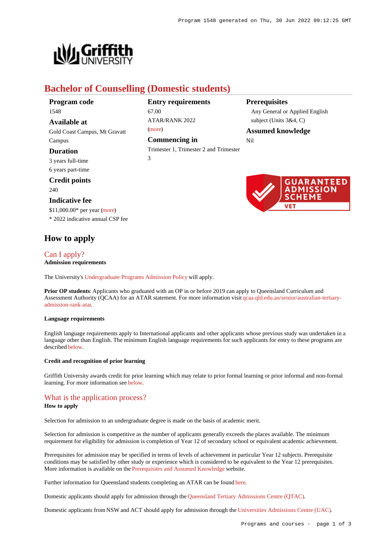

# **Bachelor of Counselling (Domestic students)**

67.00

[\(more](https://www148.griffith.edu.au/programs-courses/Program/1548/HowToApply/Domestic#tac-entry-requirements))

3

**Entry requirements**

ATAR/RANK 2022

**Commencing in**

Trimester 1, Trimester 2 and Trimester

| Program code |  |
|--------------|--|
| 1548         |  |

**Available at** Gold Coast Campus, Mt Gravatt Campus

### **Duration**

3 years full-time 6 years part-time

## **Credit points**

240

#### **Indicative fee**

\$11,000.00\* per year [\(more](https://www148.griffith.edu.au/programs-courses/Program/1548/Overview/Domestic#fees)) \* 2022 indicative annual CSP fee

# **How to apply**

# [Can I apply?](https://www148.griffith.edu.au/programs-courses/Program/1548/HowToApply/Domestic#can-i-apply)

### **Admission requirements**

The University's [Undergraduate Programs Admission Policy](https://sharepointpubstor.blob.core.windows.net/policylibrary-prod/Undergraduate Programs Admission Policy.pdf) will apply.

**Prior OP students**: Applicants who graduated with an OP in or before 2019 can apply to Queensland Curriculum and Assessment Authority (QCAA) for an ATAR statement. For more information visit [qcaa.qld.edu.au/senior/australian-tertiary](http://qcaa.qld.edu.au/senior/australian-tertiary-admission-rank-atar)[admission-rank-atar](http://qcaa.qld.edu.au/senior/australian-tertiary-admission-rank-atar).

#### **Language requirements**

English language requirements apply to International applicants and other applicants whose previous study was undertaken in a language other than English. The minimum English language requirements for such applicants for entry to these programs are described [below](https://www148.griffith.edu.au/programs-courses/Program/1548/HowToApply/Domestic#language).

#### **Credit and recognition of prior learning**

Griffith University awards credit for prior learning which may relate to prior formal learning or prior informal and non-formal learning. For more information see [below](https://www148.griffith.edu.au/programs-courses/Program/1548/HowToApply/Domestic#credit).

## [What is the application process?](https://www148.griffith.edu.au/programs-courses/Program/1548/HowToApply/Domestic#process)

#### **How to apply**

Selection for admission to an undergraduate degree is made on the basis of academic merit.

Selection for admission is competitive as the number of applicants generally exceeds the places available. The minimum requirement for eligibility for admission is completion of Year 12 of secondary school or equivalent academic achievement.

Prerequisites for admission may be specified in terms of levels of achievement in particular Year 12 subjects. Prerequisite conditions may be satisfied by other study or experience which is considered to be equivalent to the Year 12 prerequisites. More information is available on the [Prerequisites and Assumed Knowledge](https://www.griffith.edu.au/apply/prerequisites-assumed-knowledge) website.

Further information for Queensland students completing an ATAR can be found [here](https://www.griffith.edu.au/apply/undergraduate-study/high-school-students/admission-in-2021).

Domestic applicants should apply for admission through the [Queensland Tertiary Admissions Centre \(QTAC\)](http://www.qtac.edu.au/).

Domestic applicants from NSW and ACT should apply for admission through the [Universities Admissions Centre \(UAC\)](http://www.uac.edu.au/).

## **Prerequisites**

Any General or Applied English subject (Units 3&4, C)

#### **Assumed knowledge**

Nil

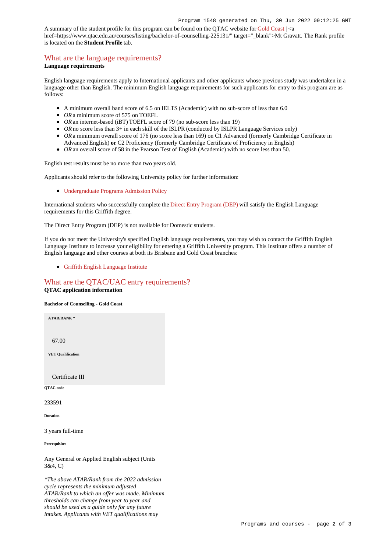A summary of the student profile for this program can be found on the QTAC website for [Gold Coast](https://www.qtac.edu.au/courses/listing/bachelor-of-counselling-233591/) | <a href=https://www.qtac.edu.au/courses/listing/bachelor-of-counselling-225131/" target="\_blank">Mt Gravatt. The Rank profile is located on the **Student Profile** tab.

## [What are the language requirements?](https://www148.griffith.edu.au/programs-courses/Program/1548/HowToApply/Domestic#language)

#### **Language requirements**

English language requirements apply to International applicants and other applicants whose previous study was undertaken in a language other than English. The minimum English language requirements for such applicants for entry to this program are as follows:

- A minimum overall band score of 6.5 on IELTS (Academic) with no sub-score of less than 6.0
- OR a minimum score of 575 on TOEFL
- *OR* an internet-based (iBT) TOEFL score of 79 (no sub-score less than 19)
- OR no score less than 3+ in each skill of the ISLPR (conducted by ISLPR Language Services only)
- OR a minimum overall score of 176 (no score less than 169) on C1 Advanced (formerly Cambridge Certificate in Advanced English) **or** C2 Proficiency (formerly Cambridge Certificate of Proficiency in English)
- OR an overall score of 58 in the Pearson Test of English (Academic) with no score less than 50.

English test results must be no more than two years old.

Applicants should refer to the following University policy for further information:

[Undergraduate Programs Admission Policy](http://policies.griffith.edu.au/pdf/Undergraduate Programs Admission Policy.pdf)

International students who successfully complete the [Direct Entry Program \(DEP\)](https://www.griffith.edu.au/international/griffith-english-language-institute/courses/direct-entry-program) will satisfy the English Language requirements for this Griffith degree.

The Direct Entry Program (DEP) is not available for Domestic students.

If you do not meet the University's specified English language requirements, you may wish to contact the Griffith English Language Institute to increase your eligibility for entering a Griffith University program. This Institute offers a number of English language and other courses at both its Brisbane and Gold Coast branches:

[Griffith English Language Institute](https://www.griffith.edu.au/international/griffith-english-language-institute)

### [What are the QTAC/UAC entry requirements?](https://www148.griffith.edu.au/programs-courses/Program/1548/HowToApply/Domestic#tac-entry-requirements) **QTAC application information**

**Bachelor of Counselling - Gold Coast**

**ATAR/RANK \***

67.00

**VET Qualification**

Certificate III

**QTAC code**

233591

**Duration**

3 years full-time

**Prerequisites**

Any General or Applied English subject (Units 3&4, C)

*\*The above ATAR/Rank from the 2022 admission cycle represents the minimum adjusted ATAR/Rank to which an offer was made. Minimum thresholds can change from year to year and should be used as a guide only for any future intakes. Applicants with VET qualifications may*